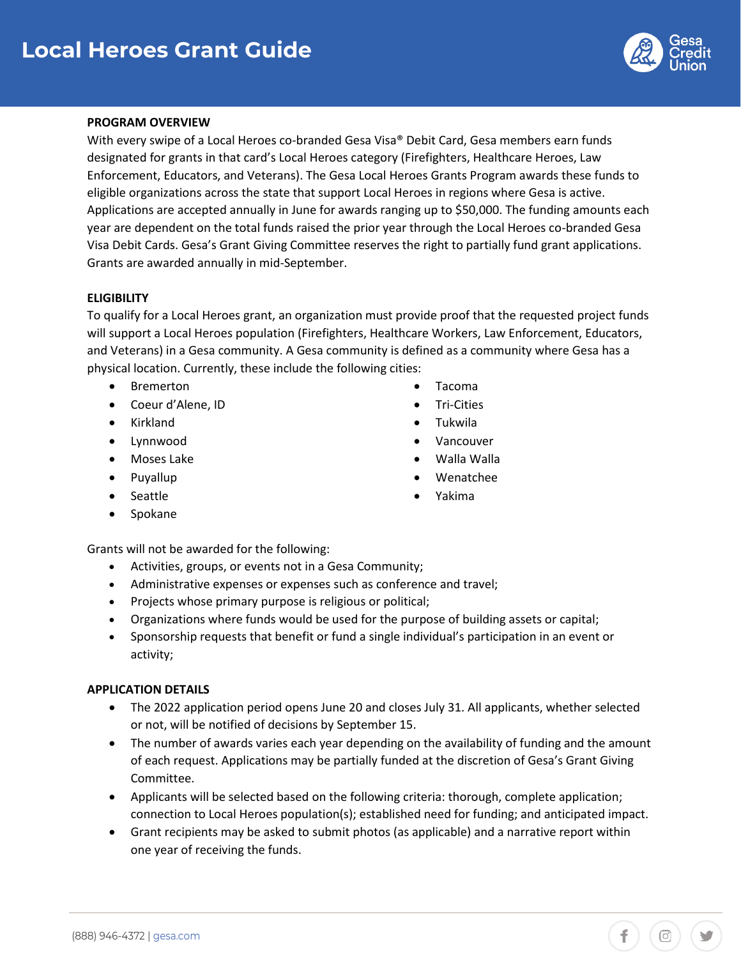

 $\circ$ 

### **PROGRAM OVERVIEW**

With every swipe of a Local Heroes co-branded Gesa Visa® Debit Card, Gesa members earn funds designated for grants in that card's Local Heroes category (Firefighters, Healthcare Heroes, Law Enforcement, Educators, and Veterans). The Gesa Local Heroes Grants Program awards these funds to eligible organizations across the state that support Local Heroes in regions where Gesa is active. Applications are accepted annually in June for awards ranging up to \$50,000. The funding amounts each year are dependent on the total funds raised the prior year through the Local Heroes co-branded Gesa Visa Debit Cards. Gesa's Grant Giving Committee reserves the right to partially fund grant applications. Grants are awarded annually in mid-September.

### **ELIGIBILITY**

To qualify for a Local Heroes grant, an organization must provide proof that the requested project funds will support a Local Heroes population (Firefighters, Healthcare Workers, Law Enforcement, Educators, and Veterans) in a Gesa community. A Gesa community is defined as a community where Gesa has a physical location. Currently, these include the following cities:

- Bremerton Tacoma
- Coeur d'Alene, ID Tri-Cities
- Kirkland Tukwila
- Lynnwood Vancouver
- Moses Lake Walla Walla
- 
- Seattle **•** Yakima
- **Spokane**

Grants will not be awarded for the following:

- Activities, groups, or events not in a Gesa Community;
- Administrative expenses or expenses such as conference and travel;
- Projects whose primary purpose is religious or political;
- Organizations where funds would be used for the purpose of building assets or capital;
- • Sponsorship requests that benefit or fund a single individual's participation in an event or activity;

### **APPLICATION DETAILS**

- or not, will be notified of decisions by September 15. • The 2022 application period opens June 20 and closes July 31. All applicants, whether selected
- • The number of awards varies each year depending on the availability of funding and the amount of each request. Applications may be partially funded at the discretion of Gesa's Grant Giving Committee.
- • Applicants will be selected based on the following criteria: thorough, complete application; connection to Local Heroes population(s); established need for funding; and anticipated impact.
- Grant recipients may be asked to submit photos (as applicable) and a narrative report within one year of receiving the funds.
- 
- 
- 
- 
- 
- Puyallup Wenatchee
	-